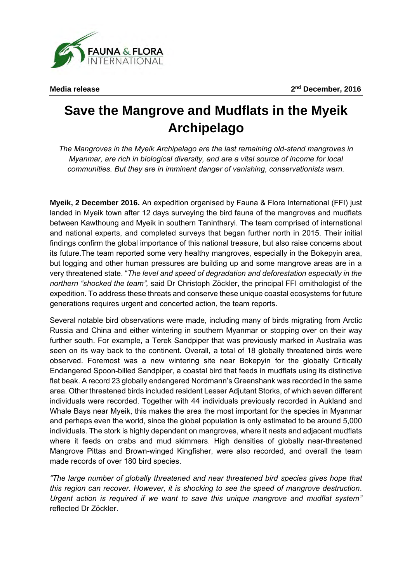**Media release 2**

**nd December, 2016** 

## **Save the Mangrove and Mudflats in the Myeik Archipelago**

*The Mangroves in the Myeik Archipelago are the last remaining old-stand mangroves in Myanmar, are rich in biological diversity, and are a vital source of income for local communities. But they are in imminent danger of vanishing, conservationists warn.* 

**Myeik, 2 December 2016.** An expedition organised by Fauna & Flora International (FFI) just landed in Myeik town after 12 days surveying the bird fauna of the mangroves and mudflats between Kawthoung and Myeik in southern Tanintharyi. The team comprised of international and national experts, and completed surveys that began further north in 2015. Their initial findings confirm the global importance of this national treasure, but also raise concerns about its future.The team reported some very healthy mangroves, especially in the Bokepyin area, but logging and other human pressures are building up and some mangrove areas are in a very threatened state. "*The level and speed of degradation and deforestation especially in the northern "shocked the team",* said Dr Christoph Zöckler, the principal FFI ornithologist of the expedition. To address these threats and conserve these unique coastal ecosystems for future generations requires urgent and concerted action, the team reports.

Several notable bird observations were made, including many of birds migrating from Arctic Russia and China and either wintering in southern Myanmar or stopping over on their way further south. For example, a Terek Sandpiper that was previously marked in Australia was seen on its way back to the continent. Overall, a total of 18 globally threatened birds were observed. Foremost was a new wintering site near Bokepyin for the globally Critically Endangered Spoon-billed Sandpiper, a coastal bird that feeds in mudflats using its distinctive flat beak. A record 23 globally endangered Nordmann's Greenshank was recorded in the same area. Other threatened birds included resident Lesser Adjutant Storks, of which seven different individuals were recorded. Together with 44 individuals previously recorded in Aukland and Whale Bays near Myeik, this makes the area the most important for the species in Myanmar and perhaps even the world, since the global population is only estimated to be around 5,000 individuals. The stork is highly dependent on mangroves, where it nests and adjacent mudflats where it feeds on crabs and mud skimmers. High densities of globally near-threatened Mangrove Pittas and Brown-winged Kingfisher, were also recorded, and overall the team made records of over 180 bird species.

*"The large number of globally threatened and near threatened bird species gives hope that this region can recover. However, it is shocking to see the speed of mangrove destruction. Urgent action is required if we want to save this unique mangrove and mudflat system"* reflected Dr Zöckler.